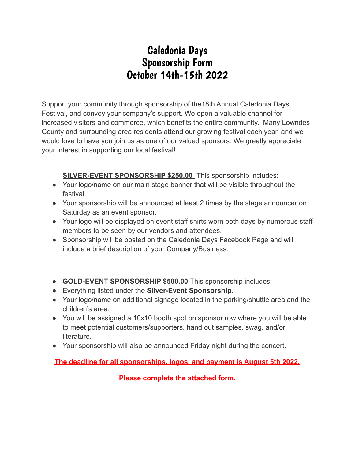## Caledonia Days Sponsorship Form October 14th-15th 2022

Support your community through sponsorship of the18th Annual Caledonia Days Festival, and convey your company's support. We open a valuable channel for increased visitors and commerce, which benefits the entire community. Many Lowndes County and surrounding area residents attend our growing festival each year, and we would love to have you join us as one of our valued sponsors. We greatly appreciate your interest in supporting our local festival!

**SILVER-EVENT SPONSORSHIP \$250.00** This sponsorship includes:

- Your logo/name on our main stage banner that will be visible throughout the festival.
- Your sponsorship will be announced at least 2 times by the stage announcer on Saturday as an event sponsor.
- Your logo will be displayed on event staff shirts worn both days by numerous staff members to be seen by our vendors and attendees.
- Sponsorship will be posted on the Caledonia Days Facebook Page and will include a brief description of your Company/Business.
- **GOLD-EVENT SPONSORSHIP \$500.00** This sponsorship includes:
- Everything listed under the **Silver-Event Sponsorship.**
- Your logo/name on additional signage located in the parking/shuttle area and the children's area.
- You will be assigned a 10x10 booth spot on sponsor row where you will be able to meet potential customers/supporters, hand out samples, swag, and/or literature.
- Your sponsorship will also be announced Friday night during the concert.

**The deadline for all sponsorships, logos, and payment is August 5th 2022.**

**Please complete the attached form.**